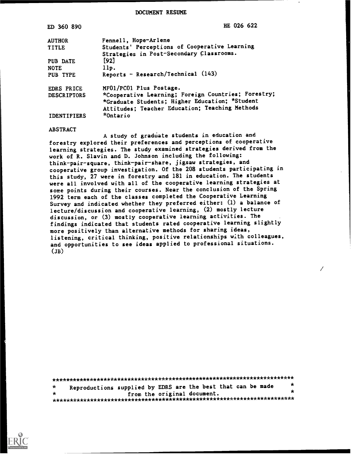DOCUMENT RESUME

| ED 360 890                                                                                                                                                                    | HE 026 622 |
|-------------------------------------------------------------------------------------------------------------------------------------------------------------------------------|------------|
| Fennell, Hope-Arlene<br><b>AUTHOR</b>                                                                                                                                         |            |
| Students' Perceptions of Cooperative Learning<br><b>TITLE</b>                                                                                                                 |            |
| Strategies in Post-Secondary Classrooms.                                                                                                                                      |            |
| [92]<br>PUB DATE                                                                                                                                                              |            |
| 11p.<br><b>NOTE</b>                                                                                                                                                           |            |
| Reports - Research/Technical (143)<br>PUB TYPE                                                                                                                                |            |
| MF01/PC01 Plus Postage.<br><b>EDRS PRICE</b>                                                                                                                                  |            |
| *Cooperative Learning; Foreign Countries; Forestry;<br><b>DESCRIPTORS</b><br>*Graduate Students; Higher Education; *Student<br>Attitudes; Teacher Education; Teaching Methods |            |
| *Ontario<br><b>IDENTIFIERS</b>                                                                                                                                                |            |

#### **ABSTRACT**

A study of graduate students in education and forestry explored their preferences and perceptions of cooperative learning strategies. The study examined strategies derived from the work of R. Slavin and D. Johnson including the following: think-pair-square, think-pair-share, jigsaw strategies, and cooperative group investigation. Of the 208 students participating in this study, 27 were in forestry and 181 in education. The students were all involved with all of the cooperative learning strategies at some points during their courses. Near the conclusion of the Spring 1992 term each of the classes completed the Cooperative Learning Survey and indicated whether they preferred either: (1) a balance of lecture/discussion and cooperative learning, (2) mostly lecture discussion, or (3) mostly cooperative learning activities. The findings indicated that students rated cooperative learning slightly more positively than alternative methods for sharing ideas, listening, critical thinking, positive relationships with colleagues, and opportunities to see ideas applied to professional situations.  $(JB)$ 

| $\star$ | Reproductions supplied by EDRS are the best that can be made |                             |  |  | $\star$ |
|---------|--------------------------------------------------------------|-----------------------------|--|--|---------|
| $\star$ |                                                              | from the original document. |  |  | $\star$ |
|         |                                                              |                             |  |  |         |

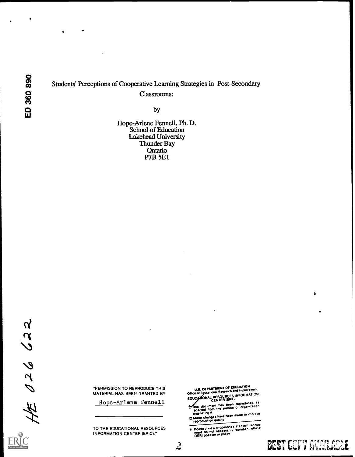# Students' Perceptions of Cooperative Learning Strategies in Post-Secondary Classrooms:

by

Hope-Arlene Fennell, Ph. D.<br>School of Education **Lakehead University** Thunder Bay Ontario<br>P7B 5E1

 $H$   $026622$ 

"PERMISSION TO REPRODUCE THIS MATERIAL HAS BEEN GRANTED BY

Hope-Arlene Fennell

TO THE EDUCATIONAL RESOURCES **INFORMATION CENTER (ERIC)."** 

U.S. DEPARTMENT OF EDUCATION<br>Office of Egucational Research and Improvement<br>EDUCATIONAL RESOURCES INFORMATION<br>CENTER (ERIC)

UEITIER (SERIER (SERIER)<br>This document has been reproduced as<br>received from the parson or organization<br>originating it

originating it.<br>[] Minor changes have been made to improve<br>|reproduction quality

Points of view or opinions stated in this document do not inecessarily represent official

 $\mathcal{L}$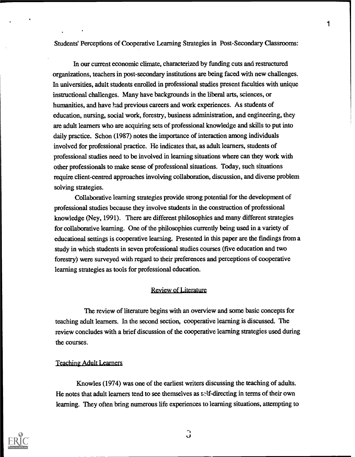Students' Perceptions of Cooperative Learning Strategies in Post-Secondary Classrooms:

In our current economic climate, characterized by funding cuts and restructured organizations, teachers in post-secondary institutions are being faced with new challenges. In universities, adult students enrolled in professional studies present faculties with unique instructional challenges. Many have backgrounds in the liberal arts, sciences, or humanities, and have had previous careers and work experiences. As students of education, nursing, social work, forestry, business administration, and engineering, they are adult learners who are acquiring sets of professional knowledge and skills to put into daily practice. Schon (1987) notes the importance of interaction among individuals involved for professional practice. He indicates that, as adult learners, students of professional studies need to be involved in learning situations where can they work with other professionals to make sense of professional situations. Today, such situations require client-centred approaches involving collaboration, discussion, and diverse problem solving strategies.

Collaborative learning strategies provide strong potential for the development of professional studies because they involve students in the construction of professional knowledge (Ney, 1991). There are different philosophies and many different strategies for collaborative learning. One of the philosophies currently being used in a variety of educational settings is cooperative learning. Presented in this paper are the findings from a study in which students in seven professional studies courses (five education and two forestry) were surveyed with regard to their preferences and perceptions of cooperative learning strategies as tools for professional education.

# Review of Literature

The review of literature begins with an overview and some basic concepts for teaching adult learners. In the second section, cooperative learning is discussed. The review concludes with a brief discussion of the cooperative learning strategies used during the courses.

# Teaching Adult Learners

Knowles (1974) was one of the earliest writers discussing the teaching of adults. He notes that adult learners tend to see themselves as self-directing in terms of their own learning. They often bring numerous life experiences to learning situations, attempting to



 $\mathbf{C}$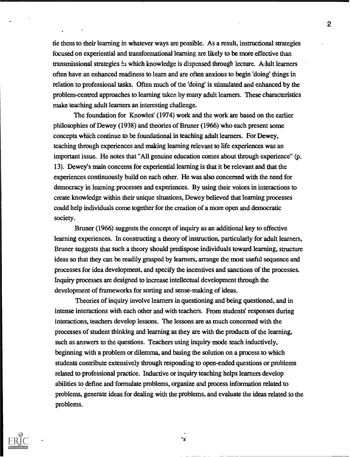tie them to their learning in whatever ways are possible. As a result, instructional strategies focused on experiential and transformational learning are likely to be more effective than transmissional strategies  $\dot{z}_1$  which knowledge is dispensed through lecture. A lult learners often have an enhanced readiness to learn and are often anxious to begin 'doing' things in relation to professional tasks. Often much of the 'doing' is stimulated and enhanced by the problem-centred approaches to learning taken by many adult learners. These characteristics make teaching adult learners an interesting challenge.

The foundation for Knowles' (1974) work and the work are based on the earlier philosophies of Dewey (1938) and theories of Bruner (1966) who each present some concepts which continue to be foundational in teaching adult learners. For Dewey, teaching through experiences and maldng learning relevant to life experiences was an important issue. He notes that "All genuine education comes about through experience" (p. 13). Dewey's main concerns for experiential learning is that it be relevant and that the experiences continuously build on each other. He was also concerned with the need for democracy in learning processes and experiences. By using their voices in interactions to create knowledge within their unique situations, Dewey believed that learning processes could help individuals come together for the creation of a more open and democratic society.

Bruner (1966) suggests the concept of inquiry as an additional key to effective learning experiences. In constructing a theory of instruction, particularly for adult learners, Bruner suggests that such a theory should predispose individuals toward learning, structure ideas so that they can be readily grasped by learners, arrange the most useful sequence and processes for idea development, and specify the incentives and sanctions of the processes. Inquiry processes are designed to increase intellectual development through the development of frameworks for sorting and sense-making of ideas.

Theories of inquiry involve learners in questioning and being questioned, and in intense interactions with each other and with teachers. From students' responses during interactions, teachers develop lessons. The lessons are as much concerned with the processes of student thinking and learning as they are with the products of the learning, such as answers to the questions. Teachers using inquiry mode teach inductively, beginning with a problem or dilemma, and basing the solution on a process to which students contribute extensively through responding to open-ended questions or problems related to professional practice. Inductive or inquiry teaching helps learners develop abilities to define and formulate problems, organize and process information related to problems, generate ideas for dealing with the problems, and evaluate the ideas related to the problems.



 $\mathbf{\hat{x}}$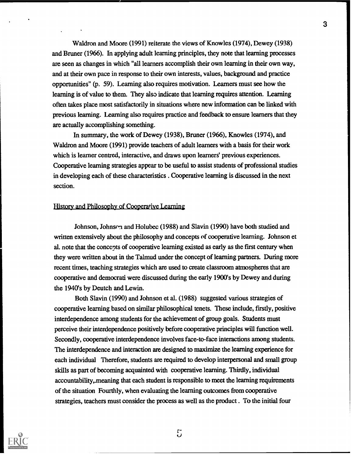Waldron and Moore (1991) reiterate the views of Knowles (1974), Dewey (1938) and Bruner (1966). In applying adult learning principles, they note that learning processes are seen as changes in which "all learners accomplish their own learning in their own way, and at their own pace in response to their own interests, values, background and practice opportunities" (p. 59). Learning also requires motivation. Learners must see how the learning is of value to them. They also indicate that learning requires attention. Learning often takes place most satisfactorily in situations where new information can be linked with previous learning. Learning also requires practice and feedback to ensure learners that they are actually accomplishing something.

In summary, the work of Dewey (1938), Bruner (1966), Knowles (1974), and Waldron and Moore (1991) provide teachers of adult learners with a basis for their work which is learner centred, interactive, and draws upon learners' previous experiences. Cooperative learning strategies appear to be useful to assist students of professional studies in developing each of these characteristics . Cooperative learning is discussed in the next section.

### History and Philosophy of Cooperative Learning

Johnson, Johnson and Holubec (1988) and Slavin (1990) have both studied and written extensively about the philosophy and concepts of cooperative learning. Johnson et al. note that the concepts of cooperative learning existed as early as the first century when they were written about in the Talmud under the concept of learning partners. During more recent times, teaching strategies which are used to create classroom atmospheres that are cooperative and democrati were discussed during the early 1900's by Dewey and during the 1940's by Deutch and Lewin.

Both Slavin (1990) and Johnson et al. (1988) suggested various strategies of cooperative learning based on similar philosophical tenets. These include, firstly, positive interdependence among students for the achievement of group goals. Students must perceive their interdependence positively before cooperative principles will function well. Secondly, cooperative interdependence involves face-to-face interactions among students. The interdependence and interaction are designed to maximize the learning experience for each individual Therefore, students are required to develop interpersonal and small group skills as part of becoming acquainted with cooperative learning. Thirdly, individual accountability,.meaning that each student is responsible to meet the learning requirements of the situation Fourthly, when evaluating the learning outcomes from cooperative strategies, teachers must consider the process as well as the product . To the initial four



 $5\overline{)}$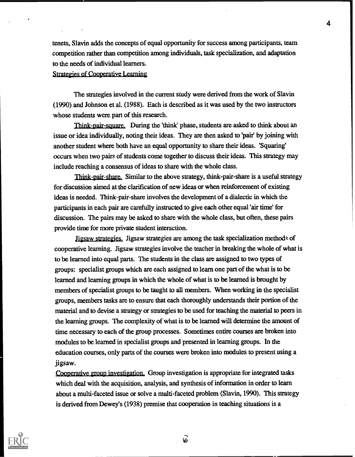tenets, Slavin adds the concepts of equal opportunity for success among participants, team competition rather than competition among individuals, task specialization, and adaptation to the needs of individual learners.

# Strategies of Cooperative Learning

The strategies involved in the current study were derived from the work of Slavin (1990) and Johnson et al. (1988). Each is described as it was used by the two instructors whose students were part of this research.

Think-pair-square. During the 'think' phase, students are asked to think about an issue or idea individually, noting their ideas. They are then asked to 'pair' by joining with another student where both have an equal opportunity to share their ideas. 'Squaring' occurs when two pairs of students come together to discuss their ideas. This strategy may include reaching a consensus of ideas to share with the whole class.

Think-pair-share. Similar to the above strategy, think-pair-share is a useful strategy for discussion aimed at the clarification of new ideas or when reinforcement of existing ideas is needed. Think-pair-share involves the development of a dialectic in which the participants in each pair are carefully instructed to give each other equal 'air time' for discussion. The pairs may be asked to share with the whole class, but often, these pairs provide time for more private student interaction.

Jigsaw strategies. Jigsaw strategies are among the task specialization methods of cooperative learning. Jigsaw strategies involve the teacher in breaking the whole of what is to be learned into equal parts. The students in the class are assigned to two types of groups: specialist groups which are each assigned to learn one part of the what is to be learned and learning groups in which the whole of what is to be learned is brought by members of specialist groups to be taught to all members. When working in the specialist groups, members tasks are to ensure that each thoroughly understands their portion of the material and to devise a strategy or strategies to be used for teaching the material to peers in the learning groups. The complexity of what is to be learned will determine the amount of time necessary to each of the group processes. Sometimes entire courses are broken into modules to be learned in specialist groups and presented in learning groups. In the education courses, only parts of the courses were broken into modules to present using a jigsaw.

Cooperative group investigation. Group investigation is appropriate for integrated tasks which deal with the acquisition, analysis, and synthesis of information in order to learn about a multi-faceted issue or solve a multi-faceted problem (Slavin, 1990). This strategy is derived from Dewey's (1938) premise that cooperation in teaching situations is a



ြ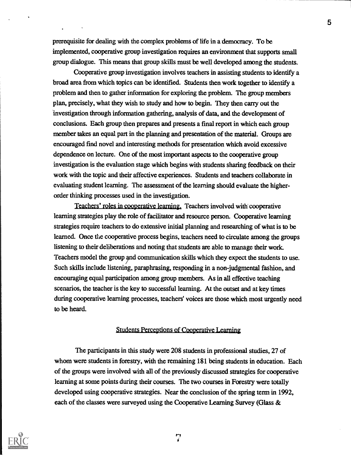prerequisite for dealing with the complex problems of life in a democracy. To be implemented, cooperative group investigation requires an environment that supports small group dialogue. This means that group skills must be well developed among the students.

Cooperative group investigation involves teachers in assisting students to identify a broad area from which topics can be identified. Students then work together to identify a problem and then to gather information for exploring the problem. The group members plan, precisely, what they wish to study and how to begin. They then cany out the 'investigation through information gathering, analysis of data, and the development of conclusions. Each group then prepares and presents a final report in which each group member takes an equal part in the planning and presentation of the material. Groups are encouraged find novel and interesting methods for presentation which avoid excessive dependence on lecture. One of the most important aspects to the cooperative group investigation is the evaluation stage which begins with students sharing feedback on their work with the topic and their affective experiences. Students and teachers collaborate in evaluating student learning. The assessment of the learring should evaluate the higherorder thinking processes used in the investigation.

Teachers' roles in cooperative learning. Teachers involved with cooperative learning strategies play the role of facilitator and resource person. Cooperative learning strategies require teachers to do extensive initial planning and researching of what is to be learned. Once the cooperative process begins, teachers need to circulate among the groups listening to their deliberations and noting that students are able to manage their work. Teachers model the group and communication skills which they expect the students to use. Such skills include listening, paraphrasing, responding in a non-judgmental fashion, and encouraging equal participation among group members. As in all effective teaching scenarios, the teacher is the key to successful learning. At the outset and at key times during cooperative learning processes, teachers' voices are those which most urgently need to be heard.

#### Students Perceptions of Cooperative Learning

The participants in this study were 208 students in professional studies, 27 of whom were students in forestry, with the remaining 181 being students in education. Each of the groups were involved with all of the previously discussed strategies for cooperative learning at some points during their courses. The two courses in Forestry were totally developed using cooperative strategies. Near the conclusion of the spring term in 1992, each of the classes were surveyed using the Cooperative Learning Survey (Glass &

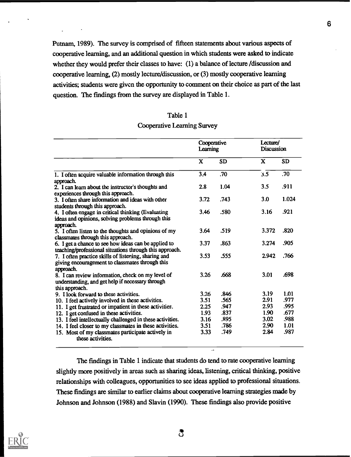Putnam, 1989). The survey is comprised of fifteen statements about various aspects of cooperative learning, and an additional question in which students were asked to indicate whether they would prefer their classes to have: (1) a balance of lecture /discussion and cooperative learning, (2) mostly lecture/discussion, or (3) mostly cooperative learning activities; students were given the opportunity to comment on their choice as part of the last question. The findings from the survey are displayed in Table 1.

| Table 1                     |
|-----------------------------|
| Cooperative Learning Survey |

|                                                                                                                         | Cooperative<br>Learning |           | Lecture/<br><b>Discussion</b> |           |
|-------------------------------------------------------------------------------------------------------------------------|-------------------------|-----------|-------------------------------|-----------|
|                                                                                                                         | X                       | <b>SD</b> | X                             | <b>SD</b> |
| 1. I often acquire valuable information through this<br>approach.                                                       | 3.4                     | .70       | 3.5                           | .70       |
| 2. I can learn about the instructor's thoughts and<br>experiences through this approach.                                | 2.8                     | 1.04      | 3.5                           | .911      |
| 3. I often share information and ideas with other<br>students through this approach.                                    | 3.72                    | .743      | 3.0                           | 1.024     |
| 4. I often engage in critical thinking (Evaluating<br>ideas and opinions, solving problems through this<br>approach.    | 3.46                    | .580      | 3.16                          | .921      |
| 5. I often listen to the thoughts and opinions of my<br>classmates through this approach.                               | 3.64                    | .519      | 3.372                         | .820      |
| 6. I get a chance to see how ideas can be applied to<br>teaching/professional situations through this approach.         | 3.37                    | .863      | 3.274                         | .905      |
| 7. I often practice skills of listening, sharing and<br>giving encouragement to classmates through this<br>approach.    | 3.53                    | .555      | 2.942                         | .766      |
| 8. I can review information, check on my level of<br>understanding, and get help if necessary through<br>this approach. | 3.26                    | .668      | 3.01                          | .698      |
| 9. I look forward to these activities.                                                                                  | 3.26                    | .846      | 3.19                          | 1.01      |
| 10. I feel actively involved in these activities.                                                                       | 3.51                    | .565      | 2.91                          | .977      |
| 11. I get frustrated or impatient in these activities.                                                                  | 2.25                    | .947      | 2.93                          | .995      |
| 12. I get confused in these activities.                                                                                 | 1.93                    | .837      | 1.90                          | .677      |
| 13. I feel intellectually challenged in these activities.                                                               | 3.16                    | .895      | 3.02                          | .988      |
| 14. I feel closer to my classmates in these activities.                                                                 | 3.51                    | .786      | 2.90                          | 1.01      |
| 15. Most of my classmates participate actively in<br>these activities.                                                  | 3.33                    | .749      | 2.84                          | .987      |

The findings in Table 1 indicate that students do tend to rate cooperative learning slightly more positively in areas such as sharing ideas, listening, critical thinking, positive relationships with colleagues, opportunities to see ideas applied to professional situations. These findings are similar to earlier claims about cooperative learning strategies made by Johnson and Johnson (1988) and Slavin (1990). These findings also provide positive

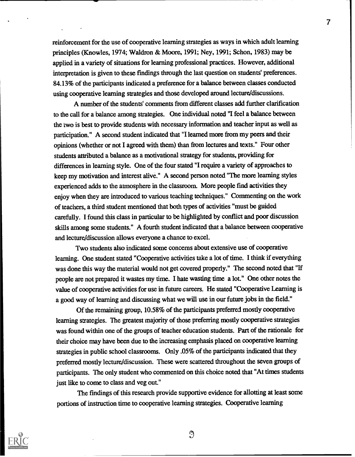reinforcement for the use of cooperative learning strategies as ways in which adult learning principles (Knowles, 1974; Waldron & Moore, 1991; Ney, 1991; Schon, 1983) may be applied in a variety of situations for learning professional practices. However, additional interpretation is given to these fmdings through the last question on students' preferences. 84.13% of the participants indicated a preference for a balance between classes conducted using cooperative learning strategies and those developed around lecture/discussions.

7 |

A number of the students' comments from different classes add further clarification to the call for a balance among strategies. One individual noted "I feel a balance between the two is best to provide students with necessary information and teacher input as well as participation." A second student indicated that "I learned more fiom my peers and their opinions (whether or not I agreed with them) than from lectures and texts." Four other students attributed a balance as a motivational strategy for students, providing for differences in learning style. One of the four stated "I require a variety of approaches to keep my motivation and interest alive." A second person noted "The more learning styles experienced adds to the atmosphere in the classroom. More people find activities they enjoy when they are introduced to various teaching techniques." Commenting on the work of teachers, a third student mentioned that both types of activities "must be guided carefully. I found this class in particular to be highlighted by conflict and poor discussion skills among some students." A fourth student indicated that a balance between cooperative and lecture/discussion allows everyone a chance to excel.

Two students also indicated some concerns about extensive use of cooperative learning. One student stated "Cooperative activities take a lot of time. I think if everything was done this way the material would not get covered properly." The second noted that "If people are not prepared it wastes my time. I hate wasting time a lot." One other notes the value of cooperative activities for use in future careers. He stated "Cooperative Learning is a good way of learning and discussing what we will use in our future jobs in the field."

Of the remaining group, 10.58% of the participants preferred mostly cooperative learning strategies. The greatest majority of those preferring mostly cooperative strategies was found within one of the groups of teacher education students. Part of the rationale for their choice may have been due to the increasing emphasis placed on cooperative learning strategies in public school classrooms. Only .05% of the participants indicated that they preferred mostly lecture/discussion. These were scattered throughout the seven groups of participants. The only student who commented on this choice noted that "At times students just like to come to class and veg out."

The findings of this research provide supportive evidence for allotting at least some portions of instruction time to cooperative learning strategies. Cooperative learning



 $\mathcal{O}$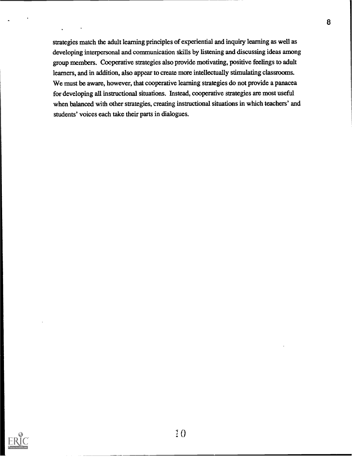strategies match the adult learning principles of experiential and inquiry learning as well as developing interpersonal and communication skills by listening and discussing ideas among group members. Cooperative strategies also provide motivating, positive feelings to adult learners, and in addition, also appear to create more intellectually stimulating classrooms. We must be aware, however, that cooperative learning strategies do not provide a panacea for developing all instructional situations. Instead, cooperative strategies are most useful when balanced with other strategies, creating instructional situations in which teachers' and students' voices each take their parts in dialogues.